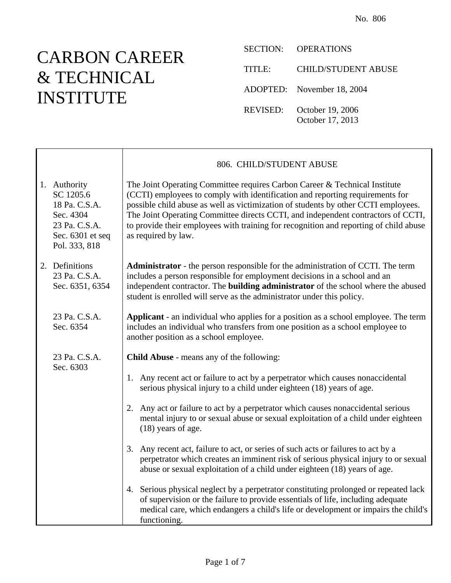## CARBON CAREER & TECHNICAL INSTITUTE

SECTION: OPERATIONS

TITLE: CHILD/STUDENT ABUSE ADOPTED: November 18, 2004 REVISED: October 19, 2006 October 17, 2013

|  |                                                                                                               | 806. CHILD/STUDENT ABUSE                                                                                                                                                                                                                                                                                                                                                                                                                              |
|--|---------------------------------------------------------------------------------------------------------------|-------------------------------------------------------------------------------------------------------------------------------------------------------------------------------------------------------------------------------------------------------------------------------------------------------------------------------------------------------------------------------------------------------------------------------------------------------|
|  | 1. Authority<br>SC 1205.6<br>18 Pa. C.S.A.<br>Sec. 4304<br>23 Pa. C.S.A.<br>Sec. 6301 et seq<br>Pol. 333, 818 | The Joint Operating Committee requires Carbon Career & Technical Institute<br>(CCTI) employees to comply with identification and reporting requirements for<br>possible child abuse as well as victimization of students by other CCTI employees.<br>The Joint Operating Committee directs CCTI, and independent contractors of CCTI,<br>to provide their employees with training for recognition and reporting of child abuse<br>as required by law. |
|  | 2. Definitions<br>23 Pa. C.S.A.<br>Sec. 6351, 6354                                                            | Administrator - the person responsible for the administration of CCTI. The term<br>includes a person responsible for employment decisions in a school and an<br>independent contractor. The <b>building administrator</b> of the school where the abused<br>student is enrolled will serve as the administrator under this policy.                                                                                                                    |
|  | 23 Pa. C.S.A.<br>Sec. 6354                                                                                    | <b>Applicant</b> - an individual who applies for a position as a school employee. The term<br>includes an individual who transfers from one position as a school employee to<br>another position as a school employee.                                                                                                                                                                                                                                |
|  | 23 Pa. C.S.A.                                                                                                 | <b>Child Abuse</b> - means any of the following:                                                                                                                                                                                                                                                                                                                                                                                                      |
|  | Sec. 6303                                                                                                     | 1. Any recent act or failure to act by a perpetrator which causes nonaccidental<br>serious physical injury to a child under eighteen (18) years of age.                                                                                                                                                                                                                                                                                               |
|  |                                                                                                               | 2. Any act or failure to act by a perpetrator which causes nonaccidental serious<br>mental injury to or sexual abuse or sexual exploitation of a child under eighteen<br>$(18)$ years of age.                                                                                                                                                                                                                                                         |
|  |                                                                                                               | 3.<br>Any recent act, failure to act, or series of such acts or failures to act by a<br>perpetrator which creates an imminent risk of serious physical injury to or sexual<br>abuse or sexual exploitation of a child under eighteen (18) years of age.                                                                                                                                                                                               |
|  |                                                                                                               | 4. Serious physical neglect by a perpetrator constituting prolonged or repeated lack<br>of supervision or the failure to provide essentials of life, including adequate<br>medical care, which endangers a child's life or development or impairs the child's<br>functioning.                                                                                                                                                                         |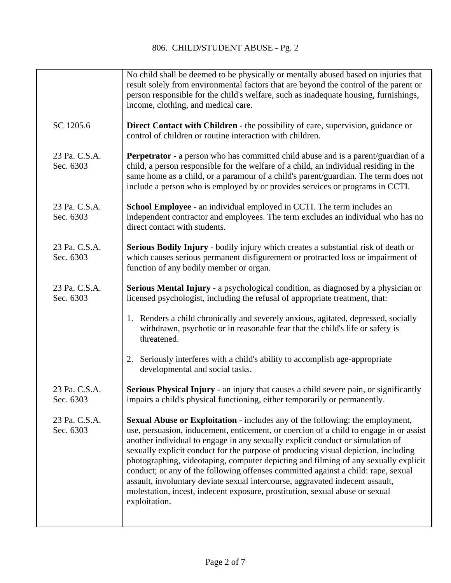| No child shall be deemed to be physically or mentally abused based on injuries that<br>result solely from environmental factors that are beyond the control of the parent or<br>person responsible for the child's welfare, such as inadequate housing, furnishings,<br>income, clothing, and medical care.                                                                                                                                                                                                                                                                                                                                                                                                          |
|----------------------------------------------------------------------------------------------------------------------------------------------------------------------------------------------------------------------------------------------------------------------------------------------------------------------------------------------------------------------------------------------------------------------------------------------------------------------------------------------------------------------------------------------------------------------------------------------------------------------------------------------------------------------------------------------------------------------|
| <b>Direct Contact with Children</b> - the possibility of care, supervision, guidance or<br>control of children or routine interaction with children.                                                                                                                                                                                                                                                                                                                                                                                                                                                                                                                                                                 |
| <b>Perpetrator</b> - a person who has committed child abuse and is a parent/guardian of a<br>child, a person responsible for the welfare of a child, an individual residing in the<br>same home as a child, or a paramour of a child's parent/guardian. The term does not<br>include a person who is employed by or provides services or programs in CCTI.                                                                                                                                                                                                                                                                                                                                                           |
| School Employee - an individual employed in CCTI. The term includes an<br>independent contractor and employees. The term excludes an individual who has no<br>direct contact with students.                                                                                                                                                                                                                                                                                                                                                                                                                                                                                                                          |
| Serious Bodily Injury - bodily injury which creates a substantial risk of death or<br>which causes serious permanent disfigurement or protracted loss or impairment of<br>function of any bodily member or organ.                                                                                                                                                                                                                                                                                                                                                                                                                                                                                                    |
| <b>Serious Mental Injury</b> - a psychological condition, as diagnosed by a physician or<br>licensed psychologist, including the refusal of appropriate treatment, that:                                                                                                                                                                                                                                                                                                                                                                                                                                                                                                                                             |
| 1. Renders a child chronically and severely anxious, agitated, depressed, socially<br>withdrawn, psychotic or in reasonable fear that the child's life or safety is<br>threatened.                                                                                                                                                                                                                                                                                                                                                                                                                                                                                                                                   |
| 2. Seriously interferes with a child's ability to accomplish age-appropriate<br>developmental and social tasks.                                                                                                                                                                                                                                                                                                                                                                                                                                                                                                                                                                                                      |
| Serious Physical Injury - an injury that causes a child severe pain, or significantly<br>impairs a child's physical functioning, either temporarily or permanently.                                                                                                                                                                                                                                                                                                                                                                                                                                                                                                                                                  |
| <b>Sexual Abuse or Exploitation - includes any of the following: the employment,</b><br>use, persuasion, inducement, enticement, or coercion of a child to engage in or assist<br>another individual to engage in any sexually explicit conduct or simulation of<br>sexually explicit conduct for the purpose of producing visual depiction, including<br>photographing, videotaping, computer depicting and filming of any sexually explicit<br>conduct; or any of the following offenses committed against a child: rape, sexual<br>assault, involuntary deviate sexual intercourse, aggravated indecent assault,<br>molestation, incest, indecent exposure, prostitution, sexual abuse or sexual<br>exploitation. |
|                                                                                                                                                                                                                                                                                                                                                                                                                                                                                                                                                                                                                                                                                                                      |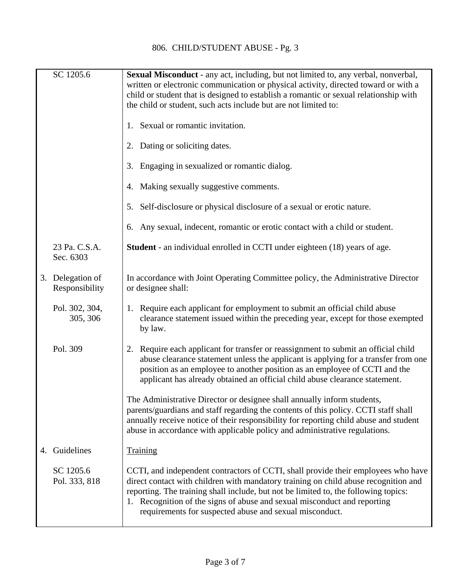| SC 1205.6                          | <b>Sexual Misconduct</b> - any act, including, but not limited to, any verbal, nonverbal,<br>written or electronic communication or physical activity, directed toward or with a<br>child or student that is designed to establish a romantic or sexual relationship with<br>the child or student, such acts include but are not limited to:                                                           |
|------------------------------------|--------------------------------------------------------------------------------------------------------------------------------------------------------------------------------------------------------------------------------------------------------------------------------------------------------------------------------------------------------------------------------------------------------|
|                                    | 1. Sexual or romantic invitation.                                                                                                                                                                                                                                                                                                                                                                      |
|                                    | 2. Dating or soliciting dates.                                                                                                                                                                                                                                                                                                                                                                         |
|                                    | Engaging in sexualized or romantic dialog.<br>3.                                                                                                                                                                                                                                                                                                                                                       |
|                                    | 4. Making sexually suggestive comments.                                                                                                                                                                                                                                                                                                                                                                |
|                                    | Self-disclosure or physical disclosure of a sexual or erotic nature.<br>5.                                                                                                                                                                                                                                                                                                                             |
|                                    | Any sexual, indecent, romantic or erotic contact with a child or student.<br>6.                                                                                                                                                                                                                                                                                                                        |
| 23 Pa. C.S.A.<br>Sec. 6303         | <b>Student</b> - an individual enrolled in CCTI under eighteen (18) years of age.                                                                                                                                                                                                                                                                                                                      |
| 3. Delegation of<br>Responsibility | In accordance with Joint Operating Committee policy, the Administrative Director<br>or designee shall:                                                                                                                                                                                                                                                                                                 |
| Pol. 302, 304,<br>305, 306         | 1. Require each applicant for employment to submit an official child abuse<br>clearance statement issued within the preceding year, except for those exempted<br>by law.                                                                                                                                                                                                                               |
| Pol. 309                           | 2. Require each applicant for transfer or reassignment to submit an official child<br>abuse clearance statement unless the applicant is applying for a transfer from one<br>position as an employee to another position as an employee of CCTI and the<br>applicant has already obtained an official child abuse clearance statement.                                                                  |
|                                    | The Administrative Director or designee shall annually inform students,<br>parents/guardians and staff regarding the contents of this policy. CCTI staff shall<br>annually receive notice of their responsibility for reporting child abuse and student<br>abuse in accordance with applicable policy and administrative regulations.                                                                  |
| 4. Guidelines                      | <b>Training</b>                                                                                                                                                                                                                                                                                                                                                                                        |
| SC 1205.6<br>Pol. 333, 818         | CCTI, and independent contractors of CCTI, shall provide their employees who have<br>direct contact with children with mandatory training on child abuse recognition and<br>reporting. The training shall include, but not be limited to, the following topics:<br>1. Recognition of the signs of abuse and sexual misconduct and reporting<br>requirements for suspected abuse and sexual misconduct. |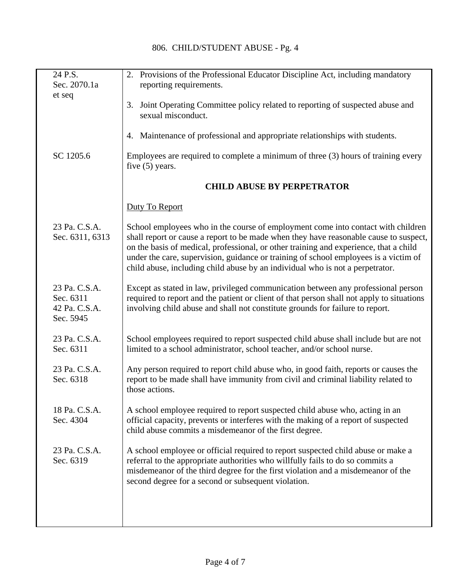| 24 P.S.                                                  | 2. Provisions of the Professional Educator Discipline Act, including mandatory                                                                                                                                                                                                                                                                                                                                                              |
|----------------------------------------------------------|---------------------------------------------------------------------------------------------------------------------------------------------------------------------------------------------------------------------------------------------------------------------------------------------------------------------------------------------------------------------------------------------------------------------------------------------|
| Sec. 2070.1a                                             | reporting requirements.                                                                                                                                                                                                                                                                                                                                                                                                                     |
| et seq                                                   | 3. Joint Operating Committee policy related to reporting of suspected abuse and<br>sexual misconduct.                                                                                                                                                                                                                                                                                                                                       |
|                                                          | 4. Maintenance of professional and appropriate relationships with students.                                                                                                                                                                                                                                                                                                                                                                 |
| SC 1205.6                                                | Employees are required to complete a minimum of three (3) hours of training every<br>five $(5)$ years.                                                                                                                                                                                                                                                                                                                                      |
|                                                          | <b>CHILD ABUSE BY PERPETRATOR</b>                                                                                                                                                                                                                                                                                                                                                                                                           |
|                                                          | Duty To Report                                                                                                                                                                                                                                                                                                                                                                                                                              |
| 23 Pa. C.S.A.<br>Sec. 6311, 6313                         | School employees who in the course of employment come into contact with children<br>shall report or cause a report to be made when they have reasonable cause to suspect,<br>on the basis of medical, professional, or other training and experience, that a child<br>under the care, supervision, guidance or training of school employees is a victim of<br>child abuse, including child abuse by an individual who is not a perpetrator. |
| 23 Pa. C.S.A.<br>Sec. 6311<br>42 Pa. C.S.A.<br>Sec. 5945 | Except as stated in law, privileged communication between any professional person<br>required to report and the patient or client of that person shall not apply to situations<br>involving child abuse and shall not constitute grounds for failure to report.                                                                                                                                                                             |
| 23 Pa. C.S.A.<br>Sec. 6311                               | School employees required to report suspected child abuse shall include but are not<br>limited to a school administrator, school teacher, and/or school nurse.                                                                                                                                                                                                                                                                              |
| 23 Pa. C.S.A.<br>Sec. 6318                               | Any person required to report child abuse who, in good faith, reports or causes the<br>report to be made shall have immunity from civil and criminal liability related to<br>those actions.                                                                                                                                                                                                                                                 |
| 18 Pa. C.S.A.<br>Sec. 4304                               | A school employee required to report suspected child abuse who, acting in an<br>official capacity, prevents or interferes with the making of a report of suspected<br>child abuse commits a misdemeanor of the first degree.                                                                                                                                                                                                                |
| 23 Pa. C.S.A.<br>Sec. 6319                               | A school employee or official required to report suspected child abuse or make a<br>referral to the appropriate authorities who willfully fails to do so commits a<br>misdemeanor of the third degree for the first violation and a misdemeanor of the<br>second degree for a second or subsequent violation.                                                                                                                               |
|                                                          |                                                                                                                                                                                                                                                                                                                                                                                                                                             |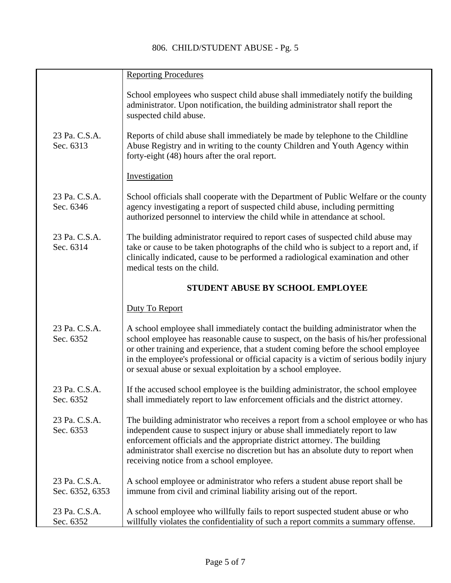|                                  | <b>Reporting Procedures</b>                                                                                                                                                                                                                                                                                                                                                                                                |
|----------------------------------|----------------------------------------------------------------------------------------------------------------------------------------------------------------------------------------------------------------------------------------------------------------------------------------------------------------------------------------------------------------------------------------------------------------------------|
|                                  | School employees who suspect child abuse shall immediately notify the building<br>administrator. Upon notification, the building administrator shall report the<br>suspected child abuse.                                                                                                                                                                                                                                  |
| 23 Pa. C.S.A.<br>Sec. 6313       | Reports of child abuse shall immediately be made by telephone to the Childline<br>Abuse Registry and in writing to the county Children and Youth Agency within<br>forty-eight (48) hours after the oral report.                                                                                                                                                                                                            |
|                                  | Investigation                                                                                                                                                                                                                                                                                                                                                                                                              |
| 23 Pa. C.S.A.<br>Sec. 6346       | School officials shall cooperate with the Department of Public Welfare or the county<br>agency investigating a report of suspected child abuse, including permitting<br>authorized personnel to interview the child while in attendance at school.                                                                                                                                                                         |
| 23 Pa. C.S.A.<br>Sec. 6314       | The building administrator required to report cases of suspected child abuse may<br>take or cause to be taken photographs of the child who is subject to a report and, if<br>clinically indicated, cause to be performed a radiological examination and other<br>medical tests on the child.                                                                                                                               |
|                                  | STUDENT ABUSE BY SCHOOL EMPLOYEE                                                                                                                                                                                                                                                                                                                                                                                           |
|                                  | Duty To Report                                                                                                                                                                                                                                                                                                                                                                                                             |
| 23 Pa. C.S.A.<br>Sec. 6352       | A school employee shall immediately contact the building administrator when the<br>school employee has reasonable cause to suspect, on the basis of his/her professional<br>or other training and experience, that a student coming before the school employee<br>in the employee's professional or official capacity is a victim of serious bodily injury<br>or sexual abuse or sexual exploitation by a school employee. |
| 23 Pa. C.S.A.<br>Sec. 6352       | If the accused school employee is the building administrator, the school employee<br>shall immediately report to law enforcement officials and the district attorney.                                                                                                                                                                                                                                                      |
| 23 Pa. C.S.A.<br>Sec. 6353       | The building administrator who receives a report from a school employee or who has<br>independent cause to suspect injury or abuse shall immediately report to law<br>enforcement officials and the appropriate district attorney. The building<br>administrator shall exercise no discretion but has an absolute duty to report when<br>receiving notice from a school employee.                                          |
| 23 Pa. C.S.A.<br>Sec. 6352, 6353 | A school employee or administrator who refers a student abuse report shall be<br>immune from civil and criminal liability arising out of the report.                                                                                                                                                                                                                                                                       |
| 23 Pa. C.S.A.<br>Sec. 6352       | A school employee who willfully fails to report suspected student abuse or who<br>willfully violates the confidentiality of such a report commits a summary offense.                                                                                                                                                                                                                                                       |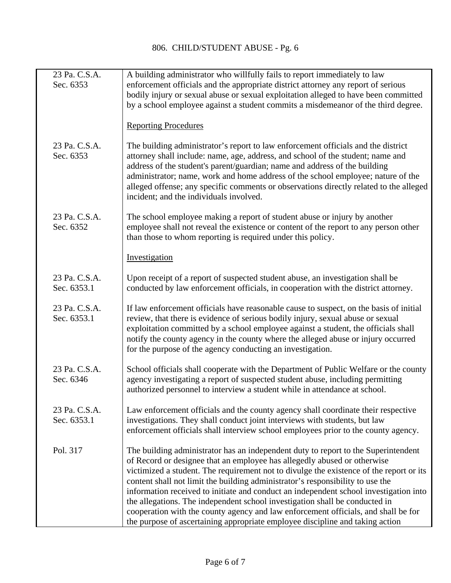| 23 Pa. C.S.A.<br>Sec. 6353   | A building administrator who willfully fails to report immediately to law<br>enforcement officials and the appropriate district attorney any report of serious<br>bodily injury or sexual abuse or sexual exploitation alleged to have been committed<br>by a school employee against a student commits a misdemeanor of the third degree.                                                                                                                                                                                                                                                                                                                                                 |
|------------------------------|--------------------------------------------------------------------------------------------------------------------------------------------------------------------------------------------------------------------------------------------------------------------------------------------------------------------------------------------------------------------------------------------------------------------------------------------------------------------------------------------------------------------------------------------------------------------------------------------------------------------------------------------------------------------------------------------|
|                              | <b>Reporting Procedures</b>                                                                                                                                                                                                                                                                                                                                                                                                                                                                                                                                                                                                                                                                |
| 23 Pa. C.S.A.<br>Sec. 6353   | The building administrator's report to law enforcement officials and the district<br>attorney shall include: name, age, address, and school of the student; name and<br>address of the student's parent/guardian; name and address of the building<br>administrator; name, work and home address of the school employee; nature of the<br>alleged offense; any specific comments or observations directly related to the alleged<br>incident; and the individuals involved.                                                                                                                                                                                                                |
| 23 Pa. C.S.A.<br>Sec. 6352   | The school employee making a report of student abuse or injury by another<br>employee shall not reveal the existence or content of the report to any person other<br>than those to whom reporting is required under this policy.                                                                                                                                                                                                                                                                                                                                                                                                                                                           |
|                              | Investigation                                                                                                                                                                                                                                                                                                                                                                                                                                                                                                                                                                                                                                                                              |
| 23 Pa. C.S.A.<br>Sec. 6353.1 | Upon receipt of a report of suspected student abuse, an investigation shall be<br>conducted by law enforcement officials, in cooperation with the district attorney.                                                                                                                                                                                                                                                                                                                                                                                                                                                                                                                       |
| 23 Pa. C.S.A.<br>Sec. 6353.1 | If law enforcement officials have reasonable cause to suspect, on the basis of initial<br>review, that there is evidence of serious bodily injury, sexual abuse or sexual<br>exploitation committed by a school employee against a student, the officials shall<br>notify the county agency in the county where the alleged abuse or injury occurred<br>for the purpose of the agency conducting an investigation.                                                                                                                                                                                                                                                                         |
| 23 Pa. C.S.A.<br>Sec. 6346   | School officials shall cooperate with the Department of Public Welfare or the county<br>agency investigating a report of suspected student abuse, including permitting<br>authorized personnel to interview a student while in attendance at school.                                                                                                                                                                                                                                                                                                                                                                                                                                       |
| 23 Pa. C.S.A.<br>Sec. 6353.1 | Law enforcement officials and the county agency shall coordinate their respective<br>investigations. They shall conduct joint interviews with students, but law<br>enforcement officials shall interview school employees prior to the county agency.                                                                                                                                                                                                                                                                                                                                                                                                                                      |
| Pol. 317                     | The building administrator has an independent duty to report to the Superintendent<br>of Record or designee that an employee has allegedly abused or otherwise<br>victimized a student. The requirement not to divulge the existence of the report or its<br>content shall not limit the building administrator's responsibility to use the<br>information received to initiate and conduct an independent school investigation into<br>the allegations. The independent school investigation shall be conducted in<br>cooperation with the county agency and law enforcement officials, and shall be for<br>the purpose of ascertaining appropriate employee discipline and taking action |